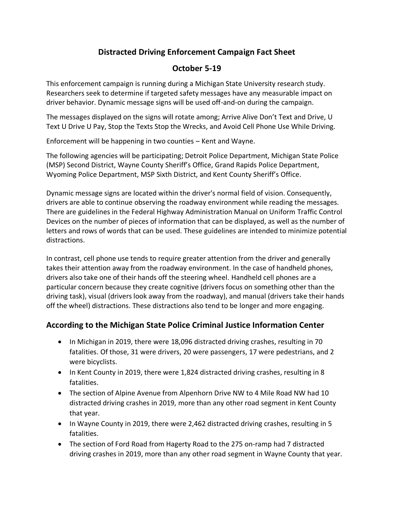# **Distracted Driving Enforcement Campaign Fact Sheet**

### **October 5-19**

This enforcement campaign is running during a Michigan State University research study. Researchers seek to determine if targeted safety messages have any measurable impact on driver behavior. Dynamic message signs will be used off-and-on during the campaign.

The messages displayed on the signs will rotate among; Arrive Alive Don't Text and Drive, U Text U Drive U Pay, Stop the Texts Stop the Wrecks, and Avoid Cell Phone Use While Driving.

Enforcement will be happening in two counties – Kent and Wayne.

The following agencies will be participating; Detroit Police Department, Michigan State Police (MSP) Second District, Wayne County Sheriff's Office, Grand Rapids Police Department, Wyoming Police Department, MSP Sixth District, and Kent County Sheriff's Office.

Dynamic message signs are located within the driver's normal field of vision. Consequently, drivers are able to continue observing the roadway environment while reading the messages. There are guidelines in the Federal Highway Administration Manual on Uniform Traffic Control Devices on the number of pieces of information that can be displayed, as well as the number of letters and rows of words that can be used. These guidelines are intended to minimize potential distractions.

In contrast, cell phone use tends to require greater attention from the driver and generally takes their attention away from the roadway environment. In the case of handheld phones, drivers also take one of their hands off the steering wheel. Handheld cell phones are a particular concern because they create cognitive (drivers focus on something other than the driving task), visual (drivers look away from the roadway), and manual (drivers take their hands off the wheel) distractions. These distractions also tend to be longer and more engaging.

## **According to the Michigan State Police Criminal Justice Information Center**

- In Michigan in 2019, there were 18,096 distracted driving crashes, resulting in 70 fatalities. Of those, 31 were drivers, 20 were passengers, 17 were pedestrians, and 2 were bicyclists.
- In Kent County in 2019, there were 1,824 distracted driving crashes, resulting in 8 fatalities.
- The section of Alpine Avenue from Alpenhorn Drive NW to 4 Mile Road NW had 10 distracted driving crashes in 2019, more than any other road segment in Kent County that year.
- In Wayne County in 2019, there were 2,462 distracted driving crashes, resulting in 5 fatalities.
- The section of Ford Road from Hagerty Road to the 275 on-ramp had 7 distracted driving crashes in 2019, more than any other road segment in Wayne County that year.